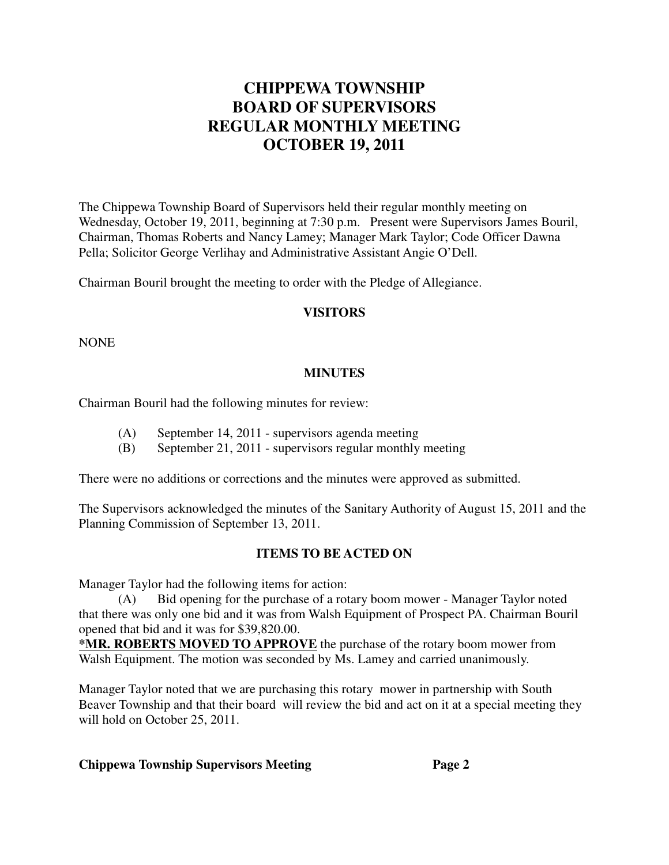# **CHIPPEWA TOWNSHIP BOARD OF SUPERVISORS REGULAR MONTHLY MEETING OCTOBER 19, 2011**

The Chippewa Township Board of Supervisors held their regular monthly meeting on Wednesday, October 19, 2011, beginning at 7:30 p.m. Present were Supervisors James Bouril, Chairman, Thomas Roberts and Nancy Lamey; Manager Mark Taylor; Code Officer Dawna Pella; Solicitor George Verlihay and Administrative Assistant Angie O'Dell.

Chairman Bouril brought the meeting to order with the Pledge of Allegiance.

### **VISITORS**

NONE

### **MINUTES**

Chairman Bouril had the following minutes for review:

- (A) September 14, 2011 supervisors agenda meeting
- (B) September 21, 2011 supervisors regular monthly meeting

There were no additions or corrections and the minutes were approved as submitted.

The Supervisors acknowledged the minutes of the Sanitary Authority of August 15, 2011 and the Planning Commission of September 13, 2011.

### **ITEMS TO BE ACTED ON**

Manager Taylor had the following items for action:

(A) Bid opening for the purchase of a rotary boom mower - Manager Taylor noted that there was only one bid and it was from Walsh Equipment of Prospect PA. Chairman Bouril opened that bid and it was for \$39,820.00.

**\*MR. ROBERTS MOVED TO APPROVE** the purchase of the rotary boom mower from Walsh Equipment. The motion was seconded by Ms. Lamey and carried unanimously.

Manager Taylor noted that we are purchasing this rotary mower in partnership with South Beaver Township and that their board will review the bid and act on it at a special meeting they will hold on October 25, 2011.

#### **Chippewa Township Supervisors Meeting Page 2**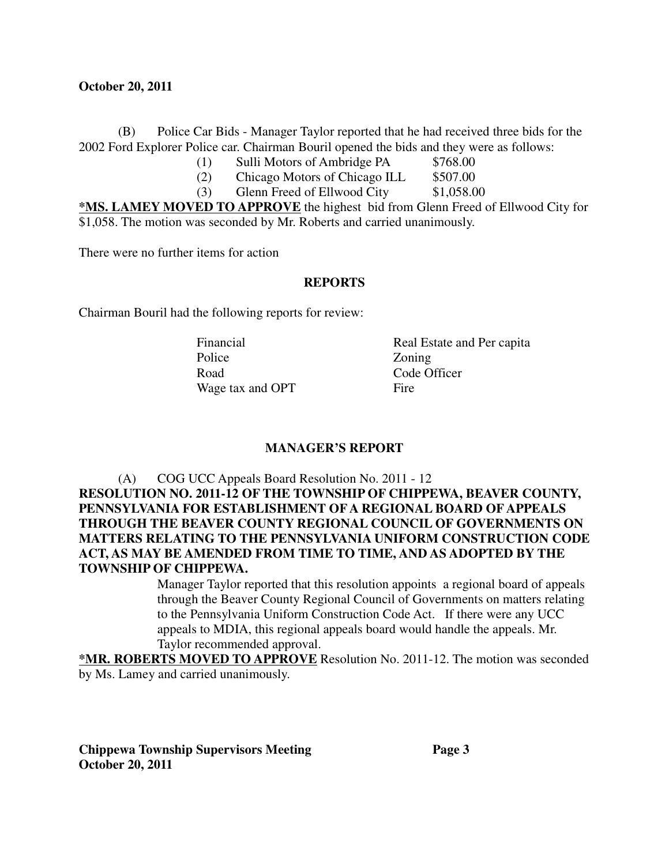#### **October 20, 2011**

(B) Police Car Bids - Manager Taylor reported that he had received three bids for the 2002 Ford Explorer Police car. Chairman Bouril opened the bids and they were as follows:

- (1) Sulli Motors of Ambridge PA \$768.00<br>
(2) Chicago Motors of Chicago ILL \$507.00
- $(2)$  Chicago Motors of Chicago ILL
- (3) Glenn Freed of Ellwood City \$1,058.00

**\*MS. LAMEY MOVED TO APPROVE** the highest bid from Glenn Freed of Ellwood City for \$1,058. The motion was seconded by Mr. Roberts and carried unanimously.

There were no further items for action

### **REPORTS**

Chairman Bouril had the following reports for review:

Police **Zoning** Road Code Officer Wage tax and OPT Fire

Financial Real Estate and Per capita

### **MANAGER'S REPORT**

(A) COG UCC Appeals Board Resolution No. 2011 - 12 **RESOLUTION NO. 2011-12 OF THE TOWNSHIP OF CHIPPEWA, BEAVER COUNTY, PENNSYLVANIA FOR ESTABLISHMENT OF A REGIONAL BOARD OF APPEALS THROUGH THE BEAVER COUNTY REGIONAL COUNCIL OF GOVERNMENTS ON MATTERS RELATING TO THE PENNSYLVANIA UNIFORM CONSTRUCTION CODE ACT, AS MAY BE AMENDED FROM TIME TO TIME, AND AS ADOPTED BY THE TOWNSHIP OF CHIPPEWA.**

> Manager Taylor reported that this resolution appoints a regional board of appeals through the Beaver County Regional Council of Governments on matters relating to the Pennsylvania Uniform Construction Code Act. If there were any UCC appeals to MDIA, this regional appeals board would handle the appeals. Mr. Taylor recommended approval.

**\*MR. ROBERTS MOVED TO APPROVE** Resolution No. 2011-12. The motion was seconded by Ms. Lamey and carried unanimously.

**Chippewa Township Supervisors Meeting Page 3 October 20, 2011**